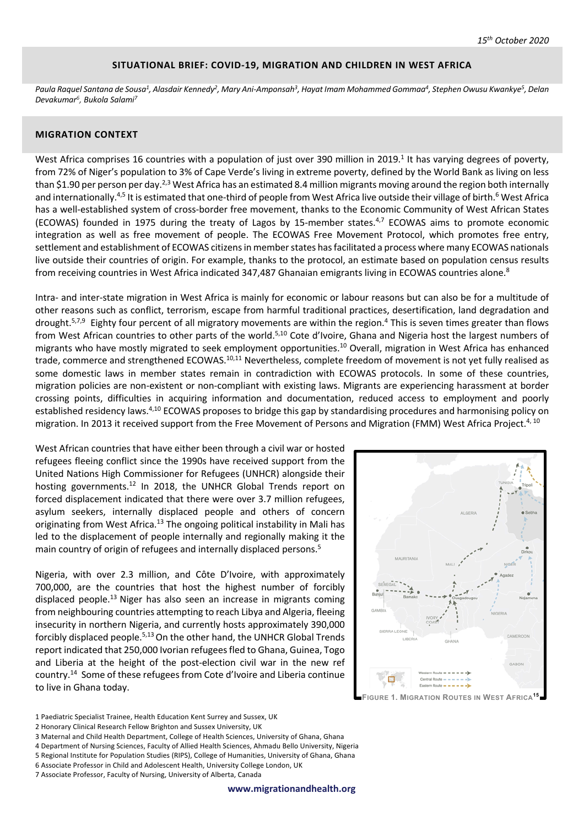#### **SITUATIONAL BRIEF: COVID-19, MIGRATION AND CHILDREN IN WEST AFRICA**

*Paula Raquel Santana de Sousa1, Alasdair Kennedy2, Mary Ani-Amponsah3, Hayat Imam Mohammed Gommaa4, Stephen Owusu Kwankye5, Delan Devakumar6, Bukola Salami7*

### **MIGRATION CONTEXT**

West Africa comprises 16 countries with a population of just over 390 million in 2019.<sup>1</sup> It has varying degrees of poverty, from 72% of Niger's population to 3% of Cape Verde's living in extreme poverty, defined by the World Bank as living on less than \$1.90 per person per day.<sup>2,3</sup> West Africa has an estimated 8.4 million migrants moving around the region both internally and internationally.<sup>4,5</sup> It is estimated that one-third of people from West Africa live outside their village of birth.<sup>6</sup> West Africa has a well-established system of cross-border free movement, thanks to the Economic Community of West African States (ECOWAS) founded in 1975 during the treaty of Lagos by 15-member states.<sup>4,7</sup> ECOWAS aims to promote economic integration as well as free movement of people. The ECOWAS Free Movement Protocol, which promotes free entry, settlement and establishment of ECOWAS citizens in member states has facilitated a process where many ECOWAS nationals live outside their countries of origin. For example, thanks to the protocol, an estimate based on population census results from receiving countries in West Africa indicated 347,487 Ghanaian emigrants living in ECOWAS countries alone.<sup>8</sup>

Intra- and inter-state migration in West Africa is mainly for economic or labour reasons but can also be for a multitude of other reasons such as conflict, terrorism, escape from harmful traditional practices, desertification, land degradation and drought.<sup>5,7,9</sup> Eighty four percent of all migratory movements are within the region.<sup>4</sup> This is seven times greater than flows from West African countries to other parts of the world.<sup>5,10</sup> Cote d'Ivoire, Ghana and Nigeria host the largest numbers of migrants who have mostly migrated to seek employment opportunities.<sup>10</sup> Overall, migration in West Africa has enhanced trade, commerce and strengthened ECOWAS.<sup>10,11</sup> Nevertheless, complete freedom of movement is not yet fully realised as some domestic laws in member states remain in contradiction with ECOWAS protocols. In some of these countries, migration policies are non-existent or non-compliant with existing laws. Migrants are experiencing harassment at border crossing points, difficulties in acquiring information and documentation, reduced access to employment and poorly established residency laws.<sup>4,10</sup> ECOWAS proposes to bridge this gap by standardising procedures and harmonising policy on migration. In 2013 it received support from the Free Movement of Persons and Migration (FMM) West Africa Project.<sup>4, 10</sup>

West African countries that have either been through a civil war or hosted refugees fleeing conflict since the 1990s have received support from the United Nations High Commissioner for Refugees (UNHCR) alongside their hosting governments.<sup>12</sup> In 2018, the UNHCR Global Trends report on forced displacement indicated that there were over 3.7 million refugees, asylum seekers, internally displaced people and others of concern originating from West Africa.<sup>13</sup> The ongoing political instability in Mali has led to the displacement of people internally and regionally making it the main country of origin of refugees and internally displaced persons.<sup>5</sup>

Nigeria, with over 2.3 million, and Côte D'Ivoire, with approximately 700,000, are the countries that host the highest number of forcibly displaced people.<sup>13</sup> Niger has also seen an increase in migrants coming from neighbouring countries attempting to reach Libya and Algeria, fleeing insecurity in northern Nigeria, and currently hosts approximately 390,000 forcibly displaced people.<sup>5,13</sup> On the other hand, the UNHCR Global Trends report indicated that 250,000 Ivorian refugees fled to Ghana, Guinea, Togo and Liberia at the height of the post-election civil war in the new ref country. 14 Some of these refugees from Cote d'Ivoire and Liberia continue to live in Ghana today.



1 Paediatric Specialist Trainee, Health Education Kent Surrey and Sussex, UK

- 2 Honorary Clinical Research Fellow Brighton and Sussex University, UK
- 3 Maternal and Child Health Department, College of Health Sciences, University of Ghana, Ghana
- 4 Department of Nursing Sciences, Faculty of Allied Health Sciences, Ahmadu Bello University, Nigeria
- 5 Regional Institute for Population Studies (RIPS), College of Humanities, University of Ghana, Ghana
- 6 Associate Professor in Child and Adolescent Health, University College London, UK
- 7 Associate Professor, Faculty of Nursing, University of Alberta, Canada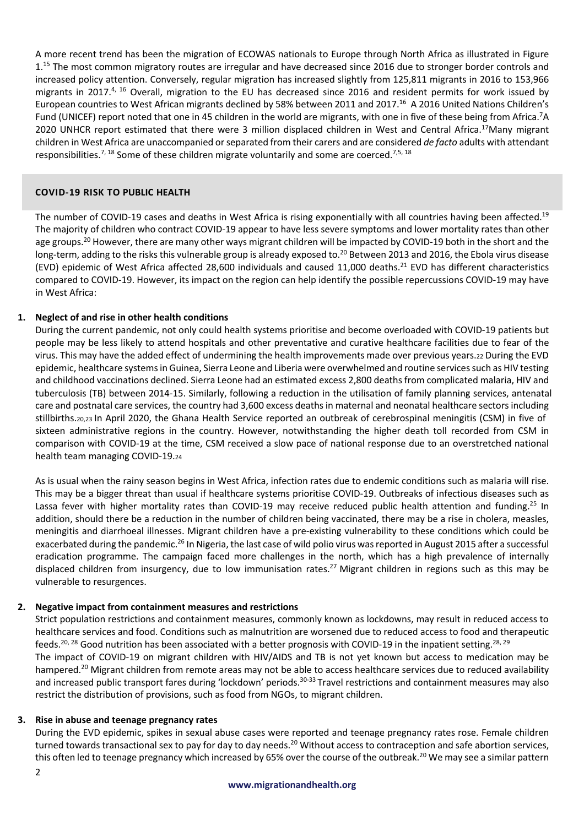A more recent trend has been the migration of ECOWAS nationals to Europe through North Africa as illustrated in Figure 1.<sup>15</sup> The most common migratory routes are irregular and have decreased since 2016 due to stronger border controls and increased policy attention. Conversely, regular migration has increased slightly from 125,811 migrants in 2016 to 153,966 migrants in 2017.<sup>4, 16</sup> Overall, migration to the EU has decreased since 2016 and resident permits for work issued by European countries to West African migrants declined by 58% between 2011 and 2017.<sup>16</sup> A 2016 United Nations Children's Fund (UNICEF) report noted that one in 45 children in the world are migrants, with one in five of these being from Africa.<sup>7</sup>A 2020 UNHCR report estimated that there were 3 million displaced children in West and Central Africa.<sup>17</sup>Many migrant children in West Africa are unaccompanied or separated from their carers and are considered *de facto* adults with attendant responsibilities.<sup>7, 18</sup> Some of these children migrate voluntarily and some are coerced.<sup>7,5, 18</sup>

# $COVID-19 RISK TO PUBLIC HEALTH$

The number of COVID-19 cases and deaths in West Africa is rising exponentially with all countries having been affected.<sup>19</sup> The majority of children who contract COVID-19 appear to have less severe symptoms and lower mortality rates than other age groups.<sup>20</sup> However, there are many other ways migrant children will be impacted by COVID-19 both in the short and the long-term, adding to the risks this vulnerable group is already exposed to.<sup>20</sup> Between 2013 and 2016, the Ebola virus disease (EVD) epidemic of West Africa affected 28,600 individuals and caused 11,000 deaths.<sup>21</sup> EVD has different characteristics compared to COVID-19. However, its impact on the region can help identify the possible repercussions COVID-19 may have in West Africa:

# **1.** Neglect of and rise in other health conditions

During the current pandemic, not only could health systems prioritise and become overloaded with COVID-19 patients but people may be less likely to attend hospitals and other preventative and curative healthcare facilities due to fear of the virus. This may have the added effect of undermining the health improvements made over previous years.22 During the EVD epidemic, healthcare systems in Guinea, Sierra Leone and Liberia were overwhelmed and routine services such as HIV testing and childhood vaccinations declined. Sierra Leone had an estimated excess 2,800 deaths from complicated malaria, HIV and tuberculosis (TB) between 2014-15. Similarly, following a reduction in the utilisation of family planning services, antenatal care and postnatal care services, the country had 3,600 excess deaths in maternal and neonatal healthcare sectors including stillbirths.20,23 In April 2020, the Ghana Health Service reported an outbreak of cerebrospinal meningitis (CSM) in five of sixteen administrative regions in the country. However, notwithstanding the higher death toll recorded from CSM in comparison with COVID-19 at the time, CSM received a slow pace of national response due to an overstretched national health team managing COVID-19.24

As is usual when the rainy season begins in West Africa, infection rates due to endemic conditions such as malaria will rise. This may be a bigger threat than usual if healthcare systems prioritise COVID-19. Outbreaks of infectious diseases such as Lassa fever with higher mortality rates than COVID-19 may receive reduced public health attention and funding.<sup>25</sup> In addition, should there be a reduction in the number of children being vaccinated, there may be a rise in cholera, measles, meningitis and diarrhoeal illnesses. Migrant children have a pre-existing vulnerability to these conditions which could be exacerbated during the pandemic.<sup>26</sup> In Nigeria, the last case of wild polio virus was reported in August 2015 after a successful eradication programme. The campaign faced more challenges in the north, which has a high prevalence of internally displaced children from insurgency, due to low immunisation rates.<sup>27</sup> Migrant children in regions such as this may be vulnerable to resurgences.

### **2. Negative impact from containment measures and restrictions**

Strict population restrictions and containment measures, commonly known as lockdowns, may result in reduced access to healthcare services and food. Conditions such as malnutrition are worsened due to reduced access to food and therapeutic feeds.<sup>20, 28</sup> Good nutrition has been associated with a better prognosis with COVID-19 in the inpatient setting.<sup>28, 29</sup> The impact of COVID-19 on migrant children with HIV/AIDS and TB is not yet known but access to medication may be hampered.<sup>20</sup> Migrant children from remote areas may not be able to access healthcare services due to reduced availability and increased public transport fares during 'lockdown' periods.<sup>30-33</sup> Travel restrictions and containment measures may also restrict the distribution of provisions, such as food from NGOs, to migrant children.

### **3. Rise in abuse and teenage pregnancy rates**

During the EVD epidemic, spikes in sexual abuse cases were reported and teenage pregnancy rates rose. Female children turned towards transactional sex to pay for day to day needs.<sup>20</sup> Without access to contraception and safe abortion services, this often led to teenage pregnancy which increased by 65% over the course of the outbreak.<sup>20</sup> We may see a similar pattern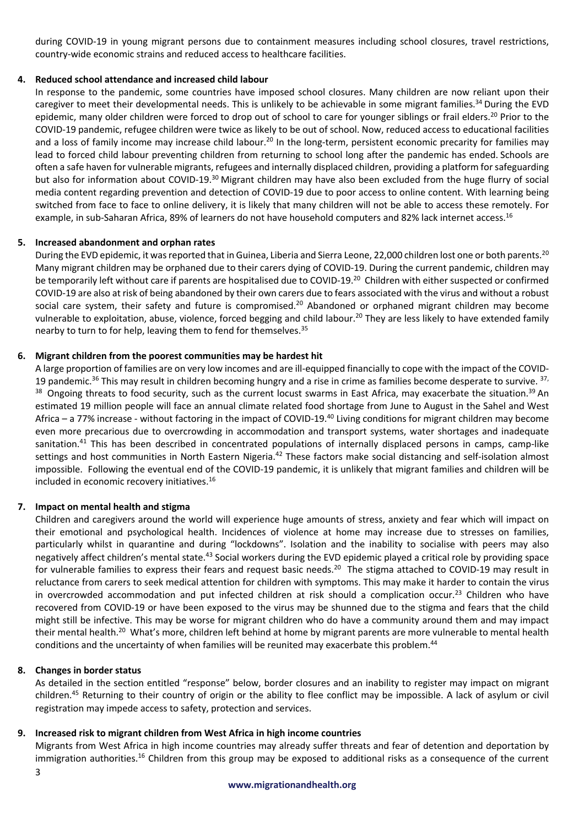during COVID-19 in young migrant persons due to containment measures including school closures, travel restrictions, country-wide economic strains and reduced access to healthcare facilities.

# **4. Reduced school attendance and increased child labour**

In response to the pandemic, some countries have imposed school closures. Many children are now reliant upon their caregiver to meet their developmental needs. This is unlikely to be achievable in some migrant families.<sup>34</sup> During the EVD epidemic, many older children were forced to drop out of school to care for younger siblings or frail elders.<sup>20</sup> Prior to the COVID-19 pandemic, refugee children were twice as likely to be out of school. Now, reduced access to educational facilities and a loss of family income may increase child labour.<sup>20</sup> In the long-term, persistent economic precarity for families may lead to forced child labour preventing children from returning to school long after the pandemic has ended. Schools are often a safe haven for vulnerable migrants, refugees and internally displaced children, providing a platform for safeguarding but also for information about COVID-19.<sup>30</sup> Migrant children may have also been excluded from the huge flurry of social media content regarding prevention and detection of COVID-19 due to poor access to online content. With learning being switched from face to face to online delivery, it is likely that many children will not be able to access these remotely. For example, in sub-Saharan Africa, 89% of learners do not have household computers and 82% lack internet access.<sup>16</sup>

# **5. Increased abandonment and orphan rates**

During the EVD epidemic, it was reported that in Guinea, Liberia and Sierra Leone, 22,000 children lost one or both parents.<sup>20</sup> Many migrant children may be orphaned due to their carers dying of COVID-19. During the current pandemic, children may be temporarily left without care if parents are hospitalised due to COVID-19.<sup>20</sup> Children with either suspected or confirmed COVID-19 are also at risk of being abandoned by their own carers due to fears associated with the virus and without a robust social care system, their safety and future is compromised.<sup>20</sup> Abandoned or orphaned migrant children may become vulnerable to exploitation, abuse, violence, forced begging and child labour.<sup>20</sup> They are less likely to have extended family nearby to turn to for help, leaving them to fend for themselves.35

# **6. Migrant children from the poorest communities may be hardest hit**

A large proportion of families are on very low incomes and are ill-equipped financially to cope with the impact of the COVID-19 pandemic.<sup>36</sup> This may result in children becoming hungry and a rise in crime as families become desperate to survive. <sup>37,</sup> 38 Ongoing threats to food security, such as the current locust swarms in East Africa, may exacerbate the situation.<sup>39</sup> An estimated 19 million people will face an annual climate related food shortage from June to August in the Sahel and West Africa – a 77% increase - without factoring in the impact of COVID-19.40 Living conditions for migrant children may become even more precarious due to overcrowding in accommodation and transport systems, water shortages and inadequate sanitation.<sup>41</sup> This has been described in concentrated populations of internally displaced persons in camps, camp-like settings and host communities in North Eastern Nigeria.<sup>42</sup> These factors make social distancing and self-isolation almost impossible. Following the eventual end of the COVID-19 pandemic, it is unlikely that migrant families and children will be included in economic recovery initiatives.16

# **7. Impact on mental health and stigma**

Children and caregivers around the world will experience huge amounts of stress, anxiety and fear which will impact on their emotional and psychological health. Incidences of violence at home may increase due to stresses on families, particularly whilst in quarantine and during "lockdowns". Isolation and the inability to socialise with peers may also negatively affect children's mental state.<sup>43</sup> Social workers during the EVD epidemic played a critical role by providing space for vulnerable families to express their fears and request basic needs.<sup>20</sup> The stigma attached to COVID-19 may result in reluctance from carers to seek medical attention for children with symptoms. This may make it harder to contain the virus in overcrowded accommodation and put infected children at risk should a complication occur.<sup>23</sup> Children who have recovered from COVID-19 or have been exposed to the virus may be shunned due to the stigma and fears that the child might still be infective. This may be worse for migrant children who do have a community around them and may impact their mental health.<sup>20</sup> What's more, children left behind at home by migrant parents are more vulnerable to mental health conditions and the uncertainty of when families will be reunited may exacerbate this problem.<sup>44</sup>

# **8. Changes in border status**

As detailed in the section entitled "response" below, border closures and an inability to register may impact on migrant children.45 Returning to their country of origin or the ability to flee conflict may be impossible. A lack of asylum or civil registration may impede access to safety, protection and services.

# **9. Increased risk to migrant children from West Africa in high income countries**

Migrants from West Africa in high income countries may already suffer threats and fear of detention and deportation by immigration authorities.<sup>16</sup> Children from this group may be exposed to additional risks as a consequence of the current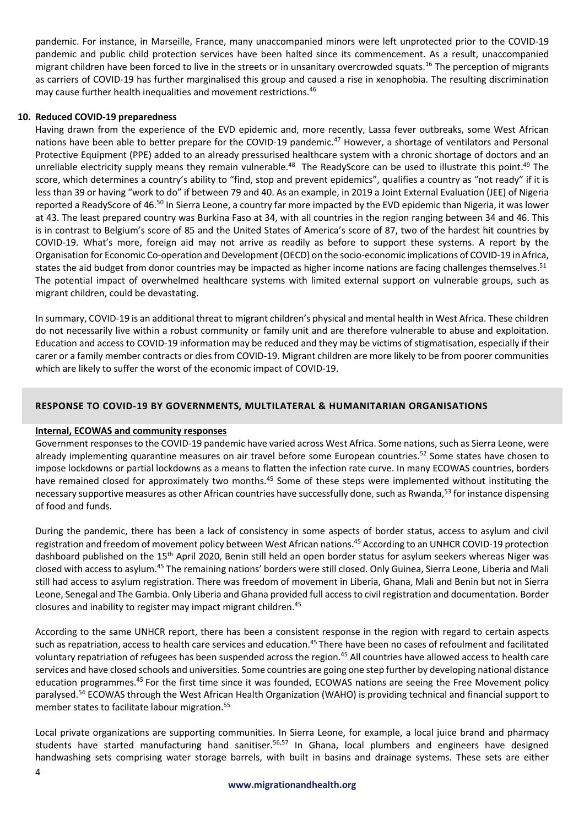pandemic. For instance, in Marseille, France, many unaccompanied minors were left unprotected prior to the COVID-19 pandemic and public child protection services have been halted since its commencement. As a result, unaccompanied migrant children have been forced to live in the streets or in unsanitary overcrowded squats.<sup>16</sup> The perception of migrants as carriers of COVID-19 has further marginalised this group and caused a rise in xenophobia. The resulting discrimination may cause further health inequalities and movement restrictions.<sup>46</sup>

## **10. Reduced COVID-19 preparedness**

Having drawn from the experience of the EVD epidemic and, more recently, Lassa fever outbreaks, some West African nations have been able to better prepare for the COVID-19 pandemic.<sup>47</sup> However, a shortage of ventilators and Personal Protective Equipment (PPE) added to an already pressurised healthcare system with a chronic shortage of doctors and an unreliable electricity supply means they remain vulnerable.<sup>48</sup> The ReadyScore can be used to illustrate this point.<sup>49</sup> The score, which determines a country's ability to "find, stop and prevent epidemics", qualifies a country as "not ready" if it is less than 39 or having "work to do" if between 79 and 40. As an example, in 2019 a Joint External Evaluation (JEE) of Nigeria reported a ReadyScore of 46.50 In Sierra Leone, a country far more impacted by the EVD epidemic than Nigeria, it was lower at 43. The least prepared country was Burkina Faso at 34, with all countries in the region ranging between 34 and 46. This is in contrast to Belgium's score of 85 and the United States of America's score of 87, two of the hardest hit countries by COVID-19. What's more, foreign aid may not arrive as readily as before to support these systems. A report by the Organisation for Economic Co-operation and Development (OECD) on the socio-economic implications of COVID-19 in Africa, states the aid budget from donor countries may be impacted as higher income nations are facing challenges themselves.<sup>51</sup> The potential impact of overwhelmed healthcare systems with limited external support on vulnerable groups, such as migrant children, could be devastating.

In summary, COVID-19 is an additional threat to migrant children's physical and mental health in West Africa. These children do not necessarily live within a robust community or family unit and are therefore vulnerable to abuse and exploitation. Education and access to COVID-19 information may be reduced and they may be victims of stigmatisation, especially if their carer or a family member contracts or dies from COVID-19. Migrant children are more likely to be from poorer communities which are likely to suffer the worst of the economic impact of COVID-19.

# **9:0[560: 25 =5>1?@AB 8\ E5>:96D:620C D3721742:947 ] F3D461249146 59E4610421560**

# **Internal, ECOWAS and community responses**

Government responsesto the COVID-19 pandemic have varied across West Africa. Some nations, such as Sierra Leone, were already implementing quarantine measures on air travel before some European countries.<sup>52</sup> Some states have chosen to impose lockdowns or partial lockdowns as a means to flatten the infection rate curve. In many ECOWAS countries, borders have remained closed for approximately two months.<sup>45</sup> Some of these steps were implemented without instituting the necessary supportive measures as other African countries have successfully done, such as Rwanda,<sup>53</sup> for instance dispensing of food and funds.

During the pandemic, there has been a lack of consistency in some aspects of border status, access to asylum and civil registration and freedom of movement policy between West African nations.45 According to an UNHCR COVID-19 protection dashboard published on the 15<sup>th</sup> April 2020, Benin still held an open border status for asylum seekers whereas Niger was closed with access to asylum.45 The remaining nations' borders were still closed. Only Guinea, Sierra Leone, Liberia and Mali still had access to asylum registration. There was freedom of movement in Liberia, Ghana, Mali and Benin but not in Sierra Leone, Senegal and The Gambia. Only Liberia and Ghana provided full access to civil registration and documentation. Border closures and inability to register may impact migrant children.45

According to the same UNHCR report, there has been a consistent response in the region with regard to certain aspects such as repatriation, access to health care services and education.<sup>45</sup> There have been no cases of refoulment and facilitated voluntary repatriation of refugees has been suspended across the region.<sup>45</sup> All countries have allowed access to health care services and have closed schools and universities. Some countries are going one step further by developing national distance education programmes.<sup>45</sup> For the first time since it was founded, ECOWAS nations are seeing the Free Movement policy paralysed.<sup>54</sup> ECOWAS through the West African Health Organization (WAHO) is providing technical and financial support to member states to facilitate labour migration.<sup>55</sup>

Local private organizations are supporting communities. In Sierra Leone, for example, a local juice brand and pharmacy students have started manufacturing hand sanitiser.<sup>56,57</sup> In Ghana, local plumbers and engineers have designed handwashing sets comprising water storage barrels, with built in basins and drainage systems. These sets are either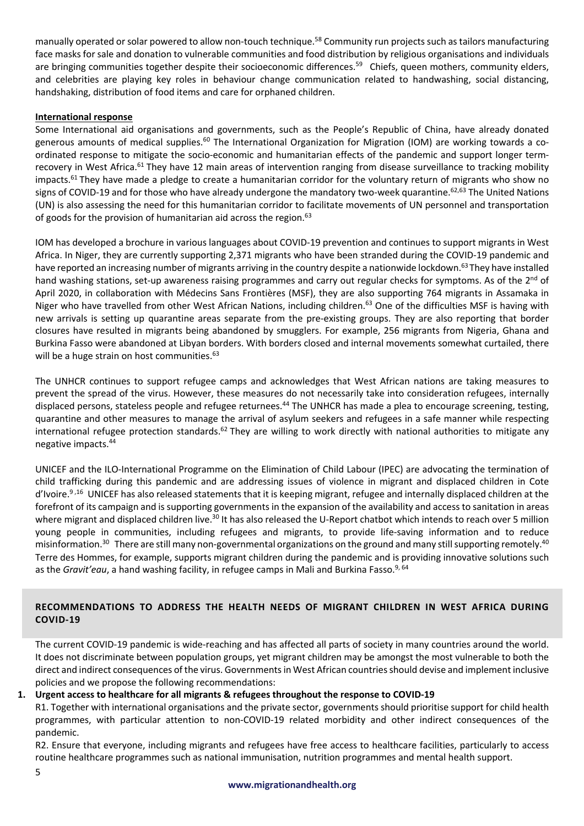manually operated or solar powered to allow non-touch technique.<sup>58</sup> Community run projects such as tailors manufacturing face masks for sale and donation to vulnerable communities and food distribution by religious organisations and individuals are bringing communities together despite their socioeconomic differences.<sup>59</sup> Chiefs, queen mothers, community elders, and celebrities are playing key roles in behaviour change communication related to handwashing, social distancing, handshaking, distribution of food items and care for orphaned children.

## **International response**

Some International aid organisations and governments, such as the People's Republic of China, have already donated generous amounts of medical supplies.<sup>60</sup> The International Organization for Migration (IOM) are working towards a coordinated response to mitigate the socio-economic and humanitarian effects of the pandemic and support longer termrecovery in West Africa.<sup>61</sup> They have 12 main areas of intervention ranging from disease surveillance to tracking mobility impacts.<sup>61</sup> They have made a pledge to create a humanitarian corridor for the voluntary return of migrants who show no signs of COVID-19 and for those who have already undergone the mandatory two-week quarantine.<sup>62,63</sup> The United Nations (UN) is also assessing the need for this humanitarian corridor to facilitate movements of UN personnel and transportation of goods for the provision of humanitarian aid across the region.<sup>63</sup>

IOM has developed a brochure in various languages about COVID-19 prevention and continues to support migrants in West Africa. In Niger, they are currently supporting 2,371 migrants who have been stranded during the COVID-19 pandemic and have reported an increasing number of migrants arriving in the country despite a nationwide lockdown.<sup>63</sup> They have installed hand washing stations, set-up awareness raising programmes and carry out regular checks for symptoms. As of the 2<sup>nd</sup> of April 2020, in collaboration with Médecins Sans Frontières (MSF), they are also supporting 764 migrants in Assamaka in Niger who have travelled from other West African Nations, including children.<sup>63</sup> One of the difficulties MSF is having with new arrivals is setting up quarantine areas separate from the pre-existing groups. They are also reporting that border closures have resulted in migrants being abandoned by smugglers. For example, 256 migrants from Nigeria, Ghana and Burkina Fasso were abandoned at Libyan borders. With borders closed and internal movements somewhat curtailed, there will be a huge strain on host communities.<sup>63</sup>

The UNHCR continues to support refugee camps and acknowledges that West African nations are taking measures to prevent the spread of the virus. However, these measures do not necessarily take into consideration refugees, internally displaced persons, stateless people and refugee returnees.<sup>44</sup> The UNHCR has made a plea to encourage screening, testing, quarantine and other measures to manage the arrival of asylum seekers and refugees in a safe manner while respecting international refugee protection standards.<sup>62</sup> They are willing to work directly with national authorities to mitigate any negative impacts. 44

UNICEF and the ILO-International Programme on the Elimination of Child Labour (IPEC) are advocating the termination of child trafficking during this pandemic and are addressing issues of violence in migrant and displaced children in Cote d'Ivoire.<sup>9,16</sup> UNICEF has also released statements that it is keeping migrant, refugee and internally displaced children at the forefront of its campaign and is supporting governments in the expansion of the availability and access to sanitation in areas where migrant and displaced children live.<sup>30</sup> It has also released the U-Report chatbot which intends to reach over 5 million young people in communities, including refugees and migrants, to provide life-saving information and to reduce misinformation.<sup>30</sup> There are still many non-governmental organizations on the ground and many still supporting remotely.<sup>40</sup> Terre des Hommes, for example, supports migrant children during the pandemic and is providing innovative solutions such as the *Gravit'eau*, a hand washing facility, in refugee camps in Mali and Burkina Fasso.<sup>9, 64</sup>

# **RECOMMENDATIONS TO ADDRESS THE HEALTH NEEDS OF MIGRANT CHILDREN IN WEST AFRICA DURING COVID-19**

The current COVID-19 pandemic is wide-reaching and has affected all parts of society in many countries around the world. It does not discriminate between population groups, yet migrant children may be amongst the most vulnerable to both the direct and indirect consequences of the virus. Governments in West African countries should devise and implement inclusive policies and we propose the following recommendations:

# 1. Urgent access to healthcare for all migrants & refugees throughout the response to COVID-19

R1. Together with international organisations and the private sector, governments should prioritise support for child health programmes, with particular attention to non-COVID-19 related morbidity and other indirect consequences of the pandemic.

R2. Ensure that everyone, including migrants and refugees have free access to healthcare facilities, particularly to access routine healthcare programmes such as national immunisation, nutrition programmes and mental health support.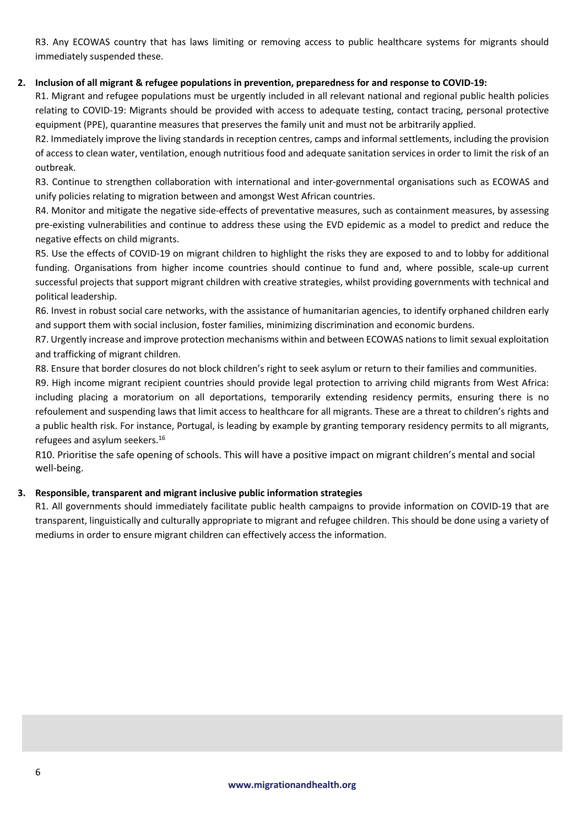R3. Any ECOWAS country that has laws limiting or removing access to public healthcare systems for migrants should immediately suspended these.

# 2. Inclusion of all migrant & refugee populations in prevention, preparedness for and response to COVID-19:

R1. Migrant and refugee populations must be urgently included in all relevant national and regional public health policies relating to COVID-19: Migrants should be provided with access to adequate testing, contact tracing, personal protective equipment (PPE), quarantine measures that preserves the family unit and must not be arbitrarily applied.

R2. Immediately improve the living standards in reception centres, camps and informal settlements, including the provision of access to clean water, ventilation, enough nutritious food and adequate sanitation services in order to limit the risk of an outbreak.

R3. Continue to strengthen collaboration with international and inter-governmental organisations such as ECOWAS and unify policies relating to migration between and amongst West African countries.

R4. Monitor and mitigate the negative side-effects of preventative measures, such as containment measures, by assessing pre-existing vulnerabilities and continue to address these using the EVD epidemic as a model to predict and reduce the negative effects on child migrants.

R5. Use the effects of COVID-19 on migrant children to highlight the risks they are exposed to and to lobby for additional funding. Organisations from higher income countries should continue to fund and, where possible, scale-up current successful projects that support migrant children with creative strategies, whilst providing governments with technical and political leadership.

R6. Invest in robust social care networks, with the assistance of humanitarian agencies, to identify orphaned children early and support them with social inclusion, foster families, minimizing discrimination and economic burdens.

R7. Urgently increase and improve protection mechanisms within and between ECOWAS nations to limit sexual exploitation and trafficking of migrant children.

R8. Ensure that border closures do not block children's right to seek asylum or return to their families and communities.

R9. High income migrant recipient countries should provide legal protection to arriving child migrants from West Africa: including placing a moratorium on all deportations, temporarily extending residency permits, ensuring there is no refoulement and suspending laws that limit access to healthcare for all migrants. These are a threat to children's rights and a public health risk. For instance, Portugal, is leading by example by granting temporary residency permits to all migrants, refugees and asylum seekers.16

R10. Prioritise the safe opening of schools. This will have a positive impact on migrant children's mental and social well-being.

# **3. Responsible, transparent and migrant inclusive public information strategies**

R1. All governments should immediately facilitate public health campaigns to provide information on COVID-19 that are transparent, linguistically and culturally appropriate to migrant and refugee children. This should be done using a variety of mediums in order to ensure migrant children can effectively access the information.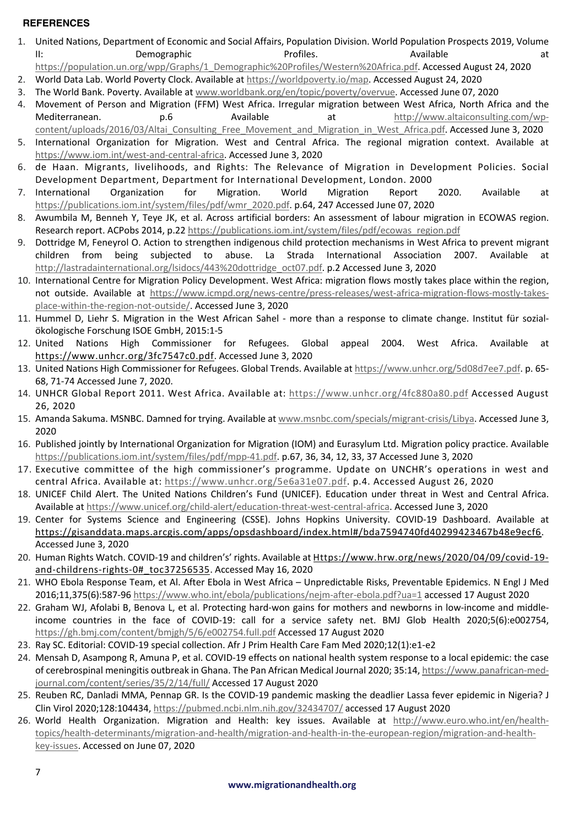# **REFERENCES**

- 1. United Nations, Department of Economic and Social Affairs, Population Division. World Population Prospects 2019, Volume II: a Demographic Profiles. Available at the Demographic entity of the Profiles.
- https://population.un.org/wpp/Graphs/1\_Demographic%20Profiles/Western%20Africa.pdf. Accessed August 24, 2020
- 2. World Data Lab. World Poverty Clock. Available at https://worldpoverty.io/map. Accessed August 24, 2020 3. The World Bank. Poverty. Available at www.worldbank.org/en/topic/poverty/overvue. Accessed June 07, 2020
- 4. Movement of Person and Migration (FFM) West Africa. Irregular migration between West Africa, North Africa and the Mediterranean.  $p.6$  Available at http://www.altaiconsulting.com/wpcontent/uploads/2016/03/Altai Consulting Free Movement and Migration in West Africa.pdf. Accessed June 3, 2020
- 5. International Organization for Migration. West and Central Africa. The regional migration context. Available at https://www.iom.int/west-and-central-africa. Accessed June 3, 2020
- 6. de Haan. Migrants, livelihoods, and Rights: The Relevance of Migration in Development Policies. Social Development Department, Department for International Development, London. 2000
- 7. International Organization for Migration. World Migration Report 2020. Available at https://publications.iom.int/system/files/pdf/wmr\_2020.pdf. p.64, 247 Accessed June 07, 2020
- 8. Awumbila M, Benneh Y, Teye JK, et al. Across artificial borders: An assessment of labour migration in ECOWAS region. Research report. ACPobs 2014, p.22 https://publications.iom.int/system/files/pdf/ecowas\_region.pdf
- 9. Dottridge M, Feneyrol O. Action to strengthen indigenous child protection mechanisms in West Africa to prevent migrant children from being subjected to abuse. La Strada International Association 2007. Available http://lastradainternational.org/lsidocs/443%20dottridge\_oct07.pdf. p.2 Accessed June 3, 2020
- 10. International Centre for Migration Policy Development. West Africa: migration flows mostly takes place within the region, not outside. Available at https://www.icmpd.org/news-centre/press-releases/west-africa-migration-flows-mostly-takesplace-within-the-region-not-outside/. Accessed June 3, 2020
- 11. Hummel D, Liehr S. Migration in the West African Sahel more than a response to climate change. Institut für sozialökologische Forschung ISOE GmbH, 2015:1-5
- 12. United Nations High Commissioner for Refugees. Global appeal 2004. West Africa. Available at https://www.unhcr.org/3fc7547c0.pdf. Accessed June 3, 2020
- 13. United Nations High Commissioner for Refugees. Global Trends. Available at https://www.unhcr.org/5d08d7ee7.pdf. p. 65- 68, 71-74 Accessed June 7, 2020.
- 14. UNHCR Global Report 2011. West Africa. Available at: https://www.unhcr.org/4fc880a80.pdf Accessed August 26, 2020
- 15. Amanda Sakuma. MSNBC. Damned for trying. Available at www.msnbc.com/specials/migrant-crisis/Libya. Accessed June 3, 2020
- 16. Published jointly by International Organization for Migration (IOM) and Eurasylum Ltd. Migration policy practice. Available https://publications.iom.int/system/files/pdf/mpp-41.pdf. p.67, 36, 34, 12, 33, 37 Accessed June 3, 2020
- 17. Executive committee of the high commissioner's programme. Update on UNCHR's operations in west and central Africa. Available at: https://www.unhcr.org/5e6a31e07.pdf. p.4. Accessed August 26, 2020
- 18. UNICEF Child Alert. The United Nations Children's Fund (UNICEF). Education under threat in West and Central Africa. Available at https://www.unicef.org/child-alert/education-threat-west-central-africa. Accessed June 3, 2020
- 19. Center for Systems Science and Engineering (CSSE). Johns Hopkins University. COVID-19 Dashboard. Available at https://gisanddata.maps.arcgis.com/apps/opsdashboard/index.html#/bda7594740fd40299423467b48e9ecf6. Accessed June 3, 2020
- 20. Human Rights Watch. COVID-19 and children's' rights. Available at Https://www.hrw.org/news/2020/04/09/covid-19 and-childrens-rights-0#\_toc37256535. Accessed May 16, 2020
- 21. WHO Ebola Response Team, et Al. After Ebola in West Africa Unpredictable Risks, Preventable Epidemics. N Engl J Med 2016;11,375(6):587-96 https://www.who.int/ebola/publications/nejm-after-ebola.pdf?ua=1 accessed 17 August 2020
- 22. Graham WJ, Afolabi B, Benova L, et al. Protecting hard-won gains for mothers and newborns in low-income and middleincome countries in the face of COVID-19: call for a service safety net. BMJ Glob Health 2020;5(6):e002754, https://gh.bmj.com/content/bmjgh/5/6/e002754.full.pdf Accessed 17 August 2020
- 23. Ray SC. Editorial: COVID-19 special collection. Afr J Prim Health Care Fam Med 2020;12(1):e1-e2
- 24. Mensah D, Asampong R, Amuna P, et al. COVID-19 effects on national health system response to a local epidemic: the case of cerebrospinal meningitis outbreak in Ghana. The Pan African Medical Journal 2020; 35:14, https://www.panafrican-medjournal.com/content/series/35/2/14/full/ Accessed 17 August 2020
- 25. Reuben RC, Danladi MMA, Pennap GR. Is the COVID-19 pandemic masking the deadlier Lassa fever epidemic in Nigeria? J Clin Virol 2020;128:104434, https://pubmed.ncbi.nlm.nih.gov/32434707/ accessed 17 August 2020
- 26. World Health Organization. Migration and Health: key issues. Available at http://www.euro.who.int/en/healthtopics/health-determinants/migration-and-health/migration-and-health-in-the-european-region/migration-and-healthkey-issues. Accessed on June 07, 2020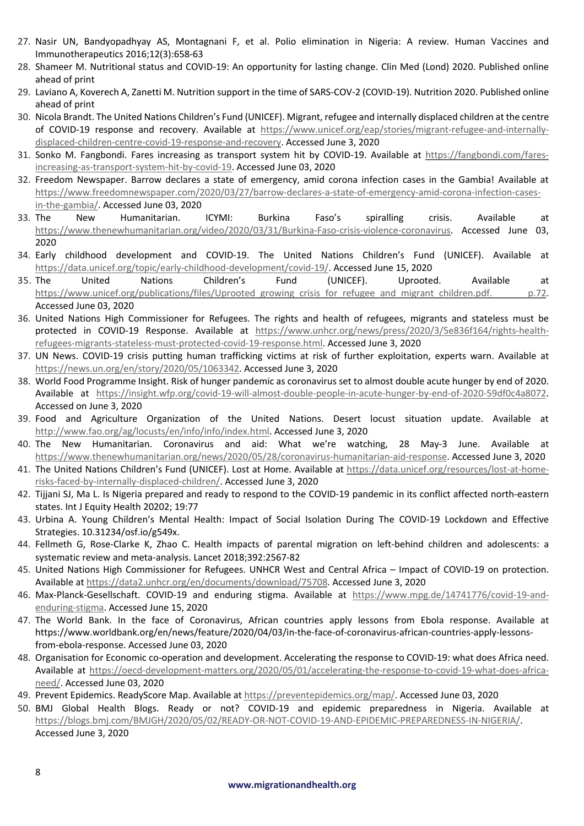- 27. Nasir UN, Bandyopadhyay AS, Montagnani F, et al. Polio elimination in Nigeria: A review. Human Vaccines and Immunotherapeutics 2016;12(3):658-63
- 28. Shameer M. Nutritional status and COVID-19: An opportunity for lasting change. Clin Med (Lond) 2020. Published online ahead of print
- 29. Laviano A, Koverech A, Zanetti M. Nutrition support in the time of SARS-COV-2 (COVID-19). Nutrition 2020. Published online ahead of print
- 30. Nicola Brandt. The United Nations Children's Fund (UNICEF). Migrant, refugee and internally displaced children at the centre of COVID-19 response and recovery. Available at https://www.unicef.org/eap/stories/migrant-refugee-and-internallydisplaced-children-centre-covid-19-response-and-recovery. Accessed June 3, 2020
- 31. Sonko M. Fangbondi. Fares increasing as transport system hit by COVID-19. Available at https://fangbondi.com/faresincreasing-as-transport-system-hit-by-covid-19. Accessed June 03, 2020
- 32. Freedom Newspaper. Barrow declares a state of emergency, amid corona infection cases in the Gambia! Available at https://www.freedomnewspaper.com/2020/03/27/barrow-declares-a-state-of-emergency-amid-corona-infection-casesin-the-gambia/. Accessed June 03, 2020
- 33. The New Humanitarian. ICYMI: Burkina Faso's spiralling crisis. Available at https://www.thenewhumanitarian.org/video/2020/03/31/Burkina-Faso-crisis-violence-coronavirus. Accessed June 03, 2020
- 34. Early childhood development and COVID-19. The United Nations Children's Fund (UNICEF). Available at https://data.unicef.org/topic/early-childhood-development/covid-19/. Accessed June 15, 2020
- 35. The United Nations Children's Fund (UNICEF). Uprooted. Available at https://www.unicef.org/publications/files/Uprooted\_growing\_crisis\_for\_refugee\_and\_migrant\_children.pdf. p.72. Accessed June 03, 2020
- 36. United Nations High Commissioner for Refugees. The rights and health of refugees, migrants and stateless must be protected in COVID-19 Response. Available at https://www.unhcr.org/news/press/2020/3/5e836f164/rights-healthrefugees-migrants-stateless-must-protected-covid-19-response.html. Accessed June 3, 2020
- 37. UN News. COVID-19 crisis putting human trafficking victims at risk of further exploitation, experts warn. Available at https://news.un.org/en/story/2020/05/1063342. Accessed June 3, 2020
- 38. World Food Programme Insight. Risk of hunger pandemic as coronavirus set to almost double acute hunger by end of 2020. Available at https://insight.wfp.org/covid-19-will-almost-double-people-in-acute-hunger-by-end-of-2020-59df0c4a8072. Accessed on June 3, 2020
- 39. Food and Agriculture Organization of the United Nations. Desert locust situation update. Available at http://www.fao.org/ag/locusts/en/info/info/index.html. Accessed June 3, 2020
- 40. The New Humanitarian. Coronavirus and aid: What we're watching, 28 May-3 June. Available at https://www.thenewhumanitarian.org/news/2020/05/28/coronavirus-humanitarian-aid-response. Accessed June 3, 2020
- 41. The United Nations Children's Fund (UNICEF). Lost at Home. Available at https://data.unicef.org/resources/lost-at-homerisks-faced-by-internally-displaced-children/. Accessed June 3, 2020
- 42. Tijjani SJ, Ma L. Is Nigeria prepared and ready to respond to the COVID-19 pandemic in its conflict affected north-eastern states. Int J Equity Health 20202; 19:77
- 43. Urbina A. Young Children's Mental Health: Impact of Social Isolation During The COVID-19 Lockdown and Effective Strategies. 10.31234/osf.io/g549x.
- 44. Fellmeth G, Rose-Clarke K, Zhao C. Health impacts of parental migration on left-behind children and adolescents: a systematic review and meta-analysis. Lancet 2018;392:2567-82
- 45. United Nations High Commissioner for Refugees. UNHCR West and Central Africa Impact of COVID-19 on protection. Available at https://data2.unhcr.org/en/documents/download/75708. Accessed June 3, 2020
- 46. Max-Planck-Gesellschaft. COVID-19 and enduring stigma. Available at https://www.mpg.de/14741776/covid-19-andenduring-stigma. Accessed June 15, 2020
- 47. The World Bank. In the face of Coronavirus, African countries apply lessons from Ebola response. Available at https://www.worldbank.org/en/news/feature/2020/04/03/in-the-face-of-coronavirus-african-countries-apply-lessonsfrom-ebola-response. Accessed June 03, 2020
- 48. Organisation for Economic co-operation and development. Accelerating the response to COVID-19: what does Africa need. Available at https://oecd-development-matters.org/2020/05/01/accelerating-the-response-to-covid-19-what-does-africaneed/. Accessed June 03, 2020
- 49. Prevent Epidemics. ReadyScore Map. Available at https://preventepidemics.org/map/. Accessed June 03, 2020
- 50. BMJ Global Health Blogs. Ready or not? COVID-19 and epidemic preparedness in Nigeria. Available at https://blogs.bmj.com/BMJGH/2020/05/02/READY-OR-NOT-COVID-19-AND-EPIDEMIC-PREPAREDNESS-IN-NIGERIA/. Accessed June 3, 2020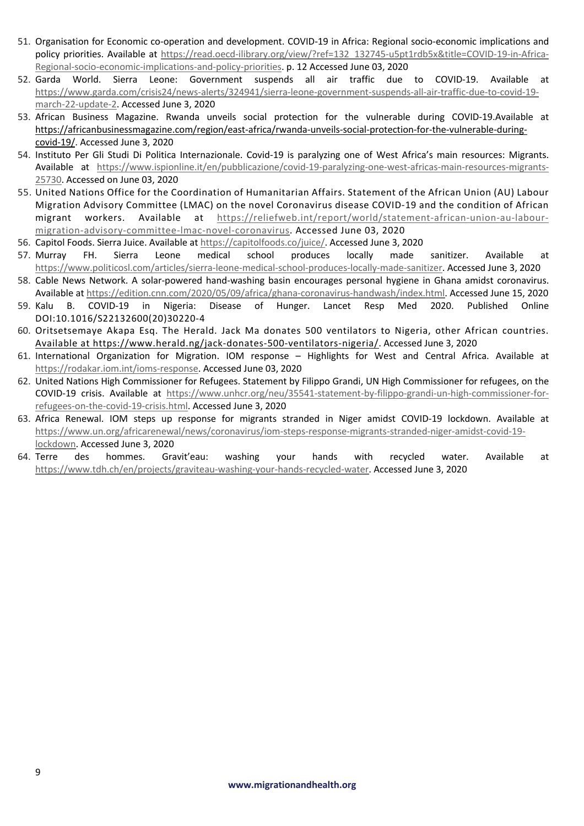- 51. Organisation for Economic co-operation and development. COVID-19 in Africa: Regional socio-economic implications and policy priorities. Available at https://read.oecd-ilibrary.org/view/?ref=132\_132745-u5pt1rdb5x&title=COVID-19-in-Africa-Regional-socio-economic-implications-and-policy-priorities. p. 12 Accessed June 03, 2020
- 52. Garda World. Sierra Leone: Government suspends all air traffic due to COVID-19. Available at https://www.garda.com/crisis24/news-alerts/324941/sierra-leone-government-suspends-all-air-traffic-due-to-covid-19 march-22-update-2. Accessed June 3, 2020
- 53. African Business Magazine. Rwanda unveils social protection for the vulnerable during COVID-19.Available at https://africanbusinessmagazine.com/region/east-africa/rwanda-unveils-social-protection-for-the-vulnerable-duringcovid-19/. Accessed June 3, 2020
- 54. Instituto Per Gli Studi Di Politica Internazionale. Covid-19 is paralyzing one of West Africa's main resources: Migrants. Available at https://www.ispionline.it/en/pubblicazione/covid-19-paralyzing-one-west-africas-main-resources-migrants-25730. Accessed on June 03, 2020
- 55. United Nations Office for the Coordination of Humanitarian Affairs. Statement of the African Union (AU) Labour Migration Advisory Committee (LMAC) on the novel Coronavirus disease COVID-19 and the condition of African migrant workers. Available at https://reliefweb.int/report/world/statement-african-union-au-labourmigration-advisory-committee-lmac-novel-coronavirus. Accessed June 03, 2020
- 56. Capitol Foods. Sierra Juice. Available at https://capitolfoods.co/juice/. Accessed June 3, 2020
- 57. Murray FH. Sierra Leone medical school produces locally made sanitizer. Available at https://www.politicosl.com/articles/sierra-leone-medical-school-produces-locally-made-sanitizer. Accessed June 3, 2020
- 58. Cable News Network. A solar-powered hand-washing basin encourages personal hygiene in Ghana amidst coronavirus. Available at https://edition.cnn.com/2020/05/09/africa/ghana-coronavirus-handwash/index.html. Accessed June 15, 2020
- 59. Kalu B. COVID-19 in Nigeria: Disease of Hunger. Lancet Resp Med 2020. Published Online DOI:10.1016/S22132600(20)30220-4
- 60. Oritsetsemaye Akapa Esq. The Herald. Jack Ma donates 500 ventilators to Nigeria, other African countries. Available at https://www.herald.ng/jack-donates-500-ventilators-nigeria/. Accessed June 3, 2020
- 61. International Organization for Migration. IOM response Highlights for West and Central Africa. Available at https://rodakar.iom.int/ioms-response. Accessed June 03, 2020
- 62. United Nations High Commissioner for Refugees. Statement by Filippo Grandi, UN High Commissioner for refugees, on the COVID-19 crisis. Available at https://www.unhcr.org/neu/35541-statement-by-filippo-grandi-un-high-commissioner-forrefugees-on-the-covid-19-crisis.html. Accessed June 3, 2020
- 63. Africa Renewal. IOM steps up response for migrants stranded in Niger amidst COVID-19 lockdown. Available at https://www.un.org/africarenewal/news/coronavirus/iom-steps-response-migrants-stranded-niger-amidst-covid-19 lockdown. Accessed June 3, 2020
- 64. Terre des hommes. Gravit'eau: washing your hands with recycled water. Available at https://www.tdh.ch/en/projects/graviteau-washing-your-hands-recycled-water. Accessed June 3, 2020